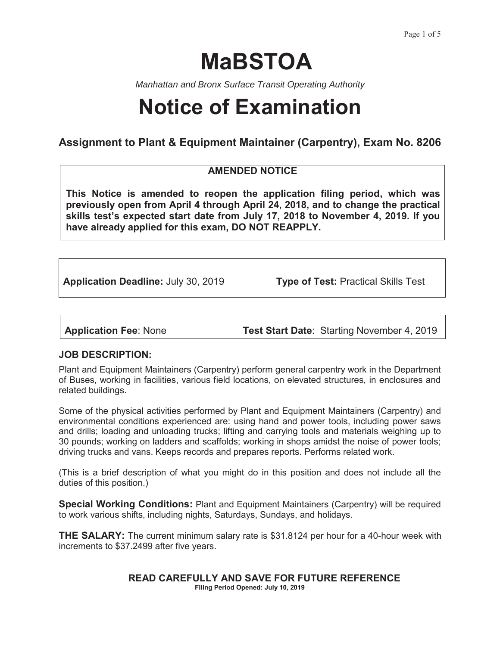# **MaBSTOA**

*Manhattan and Bronx Surface Transit Operating Authority* 

## **Notice of Examination**

## **Assignment to Plant & Equipment Maintainer (Carpentry), Exam No. 8206**

## **AMENDED NOTICE**

**This Notice is amended to reopen the application filing period, which was previously open from April 4 through April 24, 2018, and to change the practical skills test's expected start date from July 17, 2018 to November 4, 2019. If you have already applied for this exam, DO NOT REAPPLY.**

**Application Deadline:** July 30, 2019 **Type of Test:** Practical Skills Test

**Application Fee**: None **Test Start Date**: Starting November 4, 2019

## **JOB DESCRIPTION:**

Plant and Equipment Maintainers (Carpentry) perform general carpentry work in the Department of Buses, working in facilities, various field locations, on elevated structures, in enclosures and related buildings.

Some of the physical activities performed by Plant and Equipment Maintainers (Carpentry) and environmental conditions experienced are: using hand and power tools, including power saws and drills; loading and unloading trucks; lifting and carrying tools and materials weighing up to 30 pounds; working on ladders and scaffolds; working in shops amidst the noise of power tools; driving trucks and vans. Keeps records and prepares reports. Performs related work.

(This is a brief description of what you might do in this position and does not include all the duties of this position.)

**Special Working Conditions:** Plant and Equipment Maintainers (Carpentry) will be required to work various shifts, including nights, Saturdays, Sundays, and holidays.

**THE SALARY:** The current minimum salary rate is \$31.8124 per hour for a 40-hour week with increments to \$37.2499 after five years.

> **READ CAREFULLY AND SAVE FOR FUTURE REFERENCE Filing Period Opened: July 10, 2019**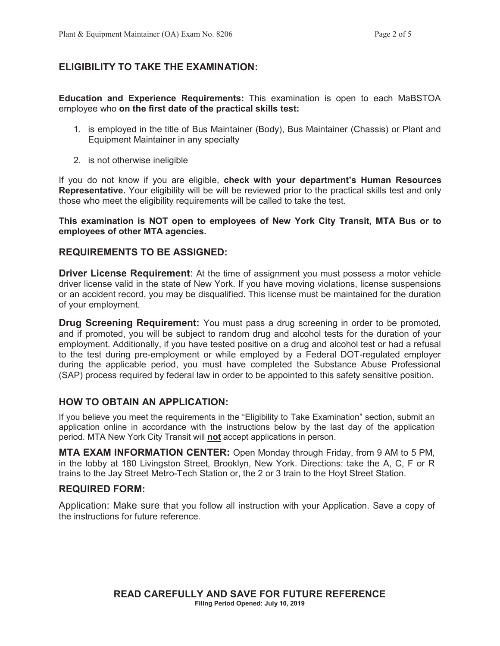## **ELIGIBILITY TO TAKE THE EXAMINATION:**

**Education and Experience Requirements:** This examination is open to each MaBSTOA employee who **on the first date of the practical skills test:**

- 1. is employed in the title of Bus Maintainer (Body), Bus Maintainer (Chassis) or Plant and Equipment Maintainer in any specialty
- 2. is not otherwise ineligible

If you do not know if you are eligible, **check with your department's Human Resources Representative.** Your eligibility will be will be reviewed prior to the practical skills test and only those who meet the eligibility requirements will be called to take the test.

**This examination is NOT open to employees of New York City Transit, MTA Bus or to employees of other MTA agencies.** 

#### **REQUIREMENTS TO BE ASSIGNED:**

**Driver License Requirement**: At the time of assignment you must possess a motor vehicle driver license valid in the state of New York. If you have moving violations, license suspensions or an accident record, you may be disqualified. This license must be maintained for the duration of your employment.

**Drug Screening Requirement:** You must pass a drug screening in order to be promoted, and if promoted, you will be subject to random drug and alcohol tests for the duration of your employment. Additionally, if you have tested positive on a drug and alcohol test or had a refusal to the test during pre-employment or while employed by a Federal DOT-regulated employer during the applicable period, you must have completed the Substance Abuse Professional (SAP) process required by federal law in order to be appointed to this safety sensitive position.

#### **HOW TO OBTAIN AN APPLICATION:**

If you believe you meet the requirements in the "Eligibility to Take Examination" section, submit an application online in accordance with the instructions below by the last day of the application period. MTA New York City Transit will **not** accept applications in person.

**MTA EXAM INFORMATION CENTER:** Open Monday through Friday, from 9 AM to 5 PM, in the lobby at 180 Livingston Street, Brooklyn, New York. Directions: take the A, C, F or R trains to the Jay Street Metro-Tech Station or, the 2 or 3 train to the Hoyt Street Station.

## **REQUIRED FORM:**

Application: Make sure that you follow all instruction with your Application. Save a copy of the instructions for future reference.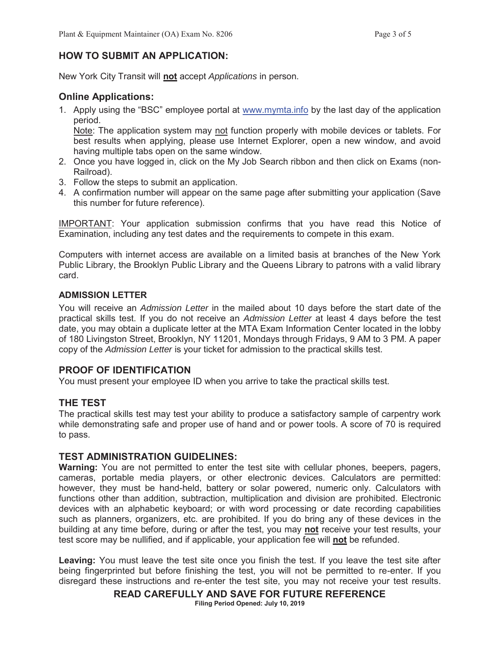## **HOW TO SUBMIT AN APPLICATION:**

New York City Transit will **not** accept *Applications* in person.

## **Online Applications:**

1. Apply using the "BSC" employee portal at www.mymta.info by the last day of the application period.

Note: The application system may not function properly with mobile devices or tablets. For best results when applying, please use Internet Explorer, open a new window, and avoid having multiple tabs open on the same window.

- 2. Once you have logged in, click on the My Job Search ribbon and then click on Exams (non-Railroad).
- 3. Follow the steps to submit an application.
- 4. A confirmation number will appear on the same page after submitting your application (Save this number for future reference).

IMPORTANT: Your application submission confirms that you have read this Notice of Examination, including any test dates and the requirements to compete in this exam.

Computers with internet access are available on a limited basis at branches of the New York Public Library, the Brooklyn Public Library and the Queens Library to patrons with a valid library card.

#### **ADMISSION LETTER**

You will receive an *Admission Letter* in the mailed about 10 days before the start date of the practical skills test. If you do not receive an *Admission Letter* at least 4 days before the test date, you may obtain a duplicate letter at the MTA Exam Information Center located in the lobby of 180 Livingston Street, Brooklyn, NY 11201, Mondays through Fridays, 9 AM to 3 PM. A paper copy of the *Admission Letter* is your ticket for admission to the practical skills test.

#### **PROOF OF IDENTIFICATION**

You must present your employee ID when you arrive to take the practical skills test.

#### **THE TEST**

The practical skills test may test your ability to produce a satisfactory sample of carpentry work while demonstrating safe and proper use of hand and or power tools. A score of 70 is required to pass.

#### **TEST ADMINISTRATION GUIDELINES:**

**Warning:** You are not permitted to enter the test site with cellular phones, beepers, pagers, cameras, portable media players, or other electronic devices. Calculators are permitted: however, they must be hand-held, battery or solar powered, numeric only. Calculators with functions other than addition, subtraction, multiplication and division are prohibited. Electronic devices with an alphabetic keyboard; or with word processing or date recording capabilities such as planners, organizers, etc. are prohibited. If you do bring any of these devices in the building at any time before, during or after the test, you may **not** receive your test results, your test score may be nullified, and if applicable, your application fee will **not** be refunded.

**Leaving:** You must leave the test site once you finish the test. If you leave the test site after being fingerprinted but before finishing the test, you will not be permitted to re-enter. If you disregard these instructions and re-enter the test site, you may not receive your test results.

**READ CAREFULLY AND SAVE FOR FUTURE REFERENCE**

**Filing Period Opened: July 10, 2019**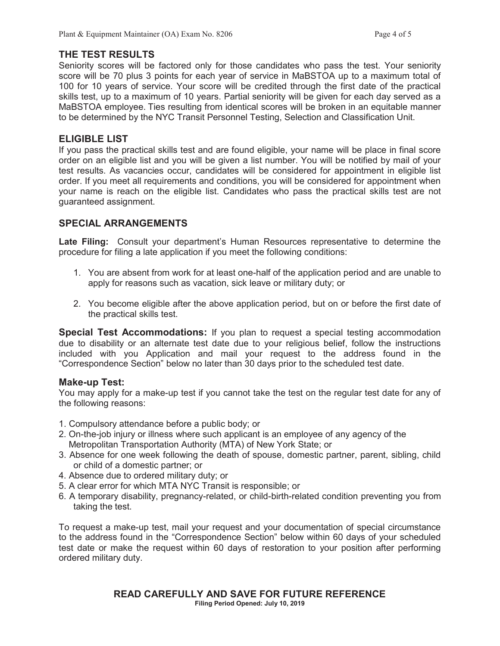#### **THE TEST RESULTS**

Seniority scores will be factored only for those candidates who pass the test. Your seniority score will be 70 plus 3 points for each year of service in MaBSTOA up to a maximum total of 100 for 10 years of service. Your score will be credited through the first date of the practical skills test, up to a maximum of 10 years. Partial seniority will be given for each day served as a MaBSTOA employee. Ties resulting from identical scores will be broken in an equitable manner to be determined by the NYC Transit Personnel Testing, Selection and Classification Unit.

#### **ELIGIBLE LIST**

If you pass the practical skills test and are found eligible, your name will be place in final score order on an eligible list and you will be given a list number. You will be notified by mail of your test results. As vacancies occur, candidates will be considered for appointment in eligible list order. If you meet all requirements and conditions, you will be considered for appointment when your name is reach on the eligible list. Candidates who pass the practical skills test are not guaranteed assignment.

## **SPECIAL ARRANGEMENTS**

Late Filing: Consult your department's Human Resources representative to determine the procedure for filing a late application if you meet the following conditions:

- 1. You are absent from work for at least one-half of the application period and are unable to apply for reasons such as vacation, sick leave or military duty; or
- 2. You become eligible after the above application period, but on or before the first date of the practical skills test.

**Special Test Accommodations:** If you plan to request a special testing accommodation due to disability or an alternate test date due to your religious belief, follow the instructions included with you Application and mail your request to the address found in the "Correspondence Section" below no later than 30 days prior to the scheduled test date.

#### **Make-up Test:**

You may apply for a make-up test if you cannot take the test on the regular test date for any of the following reasons:

- 1. Compulsory attendance before a public body; or
- 2. On-the-job injury or illness where such applicant is an employee of any agency of the Metropolitan Transportation Authority (MTA) of New York State; or
- 3. Absence for one week following the death of spouse, domestic partner, parent, sibling, child or child of a domestic partner; or
- 4. Absence due to ordered military duty; or
- 5. A clear error for which MTA NYC Transit is responsible; or
- 6. A temporary disability, pregnancy-related, or child-birth-related condition preventing you from taking the test.

To request a make-up test, mail your request and your documentation of special circumstance to the address found in the "Correspondence Section" below within 60 days of your scheduled test date or make the request within 60 days of restoration to your position after performing ordered military duty.